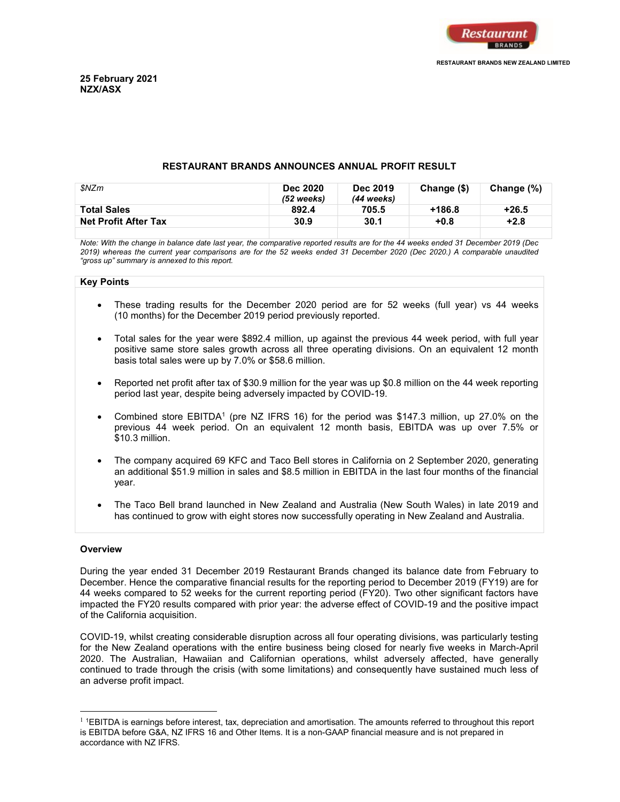

## RESTAURANT BRANDS ANNOUNCES ANNUAL PROFIT RESULT

| \$NZm                       | <b>Dec 2020</b><br>(52 weeks) | <b>Dec 2019</b><br>(44 weeks) | Change (\$) | Change (%) |
|-----------------------------|-------------------------------|-------------------------------|-------------|------------|
| <b>Total Sales</b>          | 892.4                         | 705.5                         | $+186.8$    | $+26.5$    |
| <b>Net Profit After Tax</b> | 30.9                          | 30.1                          | +0.8        | $+2.8$     |
|                             |                               |                               |             |            |

Note: With the change in balance date last year, the comparative reported results are for the 44 weeks ended 31 December 2019 (Dec 2019) whereas the current year comparisons are for the 52 weeks ended 31 December 2020 (Dec 2020.) A comparable unaudited "gross up" summary is annexed to this report.

#### Key Points

- These trading results for the December 2020 period are for 52 weeks (full year) vs 44 weeks (10 months) for the December 2019 period previously reported.
- Total sales for the year were \$892.4 million, up against the previous 44 week period, with full year positive same store sales growth across all three operating divisions. On an equivalent 12 month basis total sales were up by 7.0% or \$58.6 million.
- Reported net profit after tax of \$30.9 million for the year was up \$0.8 million on the 44 week reporting period last year, despite being adversely impacted by COVID-19.
- Combined store EBITDA<sup>1</sup> (pre NZ IFRS 16) for the period was \$147.3 million, up 27.0% on the previous 44 week period. On an equivalent 12 month basis, EBITDA was up over 7.5% or \$10.3 million.
- The company acquired 69 KFC and Taco Bell stores in California on 2 September 2020, generating an additional \$51.9 million in sales and \$8.5 million in EBITDA in the last four months of the financial year.
- The Taco Bell brand launched in New Zealand and Australia (New South Wales) in late 2019 and has continued to grow with eight stores now successfully operating in New Zealand and Australia.

## **Overview**

 $\overline{a}$ 

During the year ended 31 December 2019 Restaurant Brands changed its balance date from February to December. Hence the comparative financial results for the reporting period to December 2019 (FY19) are for 44 weeks compared to 52 weeks for the current reporting period (FY20). Two other significant factors have impacted the FY20 results compared with prior year: the adverse effect of COVID-19 and the positive impact of the California acquisition.

COVID-19, whilst creating considerable disruption across all four operating divisions, was particularly testing for the New Zealand operations with the entire business being closed for nearly five weeks in March-April 2020. The Australian, Hawaiian and Californian operations, whilst adversely affected, have generally continued to trade through the crisis (with some limitations) and consequently have sustained much less of an adverse profit impact.

 $1$  1EBITDA is earnings before interest, tax, depreciation and amortisation. The amounts referred to throughout this report is EBITDA before G&A, NZ IFRS 16 and Other Items. It is a non-GAAP financial measure and is not prepared in accordance with NZ IFRS.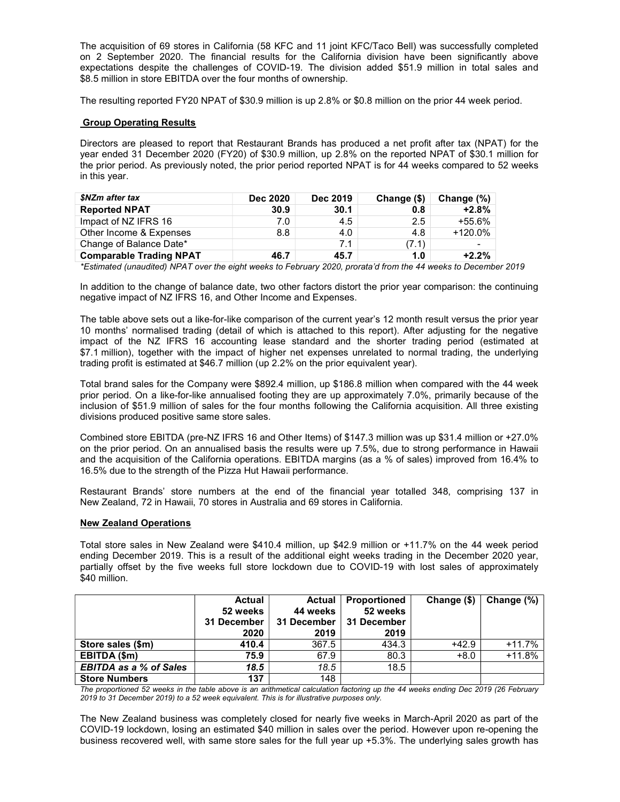The acquisition of 69 stores in California (58 KFC and 11 joint KFC/Taco Bell) was successfully completed on 2 September 2020. The financial results for the California division have been significantly above expectations despite the challenges of COVID-19. The division added \$51.9 million in total sales and \$8.5 million in store EBITDA over the four months of ownership.

The resulting reported FY20 NPAT of \$30.9 million is up 2.8% or \$0.8 million on the prior 44 week period.

# **Group Operating Results**

Directors are pleased to report that Restaurant Brands has produced a net profit after tax (NPAT) for the year ended 31 December 2020 (FY20) of \$30.9 million, up 2.8% on the reported NPAT of \$30.1 million for the prior period. As previously noted, the prior period reported NPAT is for 44 weeks compared to 52 weeks in this year.

| \$NZm after tax                | <b>Dec 2020</b> | <b>Dec 2019</b> | Change (\$) | Change $(\%)$ |
|--------------------------------|-----------------|-----------------|-------------|---------------|
| <b>Reported NPAT</b>           | 30.9            | 30.1            | 0.8         | $+2.8%$       |
| Impact of NZ IFRS 16           | 7.0             | 4.5             | 2.5         | $+55.6\%$     |
| Other Income & Expenses        | 8.8             | 4.0             | 4.8         | $+120.0\%$    |
| Change of Balance Date*        |                 | 7.1             | (7.1)       |               |
| <b>Comparable Trading NPAT</b> | 46.7            | 45.7            | 1.0         | $+2.2\%$      |

\*Estimated (unaudited) NPAT over the eight weeks to February 2020, prorata'd from the 44 weeks to December 2019

In addition to the change of balance date, two other factors distort the prior year comparison: the continuing negative impact of NZ IFRS 16, and Other Income and Expenses.

The table above sets out a like-for-like comparison of the current year's 12 month result versus the prior year 10 months' normalised trading (detail of which is attached to this report). After adjusting for the negative impact of the NZ IFRS 16 accounting lease standard and the shorter trading period (estimated at \$7.1 million), together with the impact of higher net expenses unrelated to normal trading, the underlying trading profit is estimated at \$46.7 million (up 2.2% on the prior equivalent year).

Total brand sales for the Company were \$892.4 million, up \$186.8 million when compared with the 44 week prior period. On a like-for-like annualised footing they are up approximately 7.0%, primarily because of the inclusion of \$51.9 million of sales for the four months following the California acquisition. All three existing divisions produced positive same store sales.

Combined store EBITDA (pre-NZ IFRS 16 and Other Items) of \$147.3 million was up \$31.4 million or +27.0% on the prior period. On an annualised basis the results were up 7.5%, due to strong performance in Hawaii and the acquisition of the California operations. EBITDA margins (as a % of sales) improved from 16.4% to 16.5% due to the strength of the Pizza Hut Hawaii performance.

Restaurant Brands' store numbers at the end of the financial year totalled 348, comprising 137 in New Zealand, 72 in Hawaii, 70 stores in Australia and 69 stores in California.

## New Zealand Operations

Total store sales in New Zealand were \$410.4 million, up \$42.9 million or +11.7% on the 44 week period ending December 2019. This is a result of the additional eight weeks trading in the December 2020 year, partially offset by the five weeks full store lockdown due to COVID-19 with lost sales of approximately \$40 million.

|                               | <b>Actual</b> | <b>Actual</b> | <b>Proportioned</b> | Change (\$) | Change (%) |
|-------------------------------|---------------|---------------|---------------------|-------------|------------|
|                               | 52 weeks      | 44 weeks      | 52 weeks            |             |            |
|                               | 31 December   | 31 December   | 31 December         |             |            |
|                               | 2020          | 2019          | 2019                |             |            |
| Store sales (\$m)             | 410.4         | 367.5         | 434.3               | +42.9       | $+11.7%$   |
| EBITDA (\$m)                  | 75.9          | 67.9          | 80.3                | $+8.0$      | $+11.8%$   |
| <b>EBITDA as a % of Sales</b> | 18.5          | 18.5          | 18.5                |             |            |
| <b>Store Numbers</b>          | 137           | 148           |                     |             |            |

The proportioned 52 weeks in the table above is an arithmetical calculation factoring up the 44 weeks ending Dec 2019 (26 February 2019 to 31 December 2019) to a 52 week equivalent. This is for illustrative purposes only.

The New Zealand business was completely closed for nearly five weeks in March-April 2020 as part of the COVID-19 lockdown, losing an estimated \$40 million in sales over the period. However upon re-opening the business recovered well, with same store sales for the full year up +5.3%. The underlying sales growth has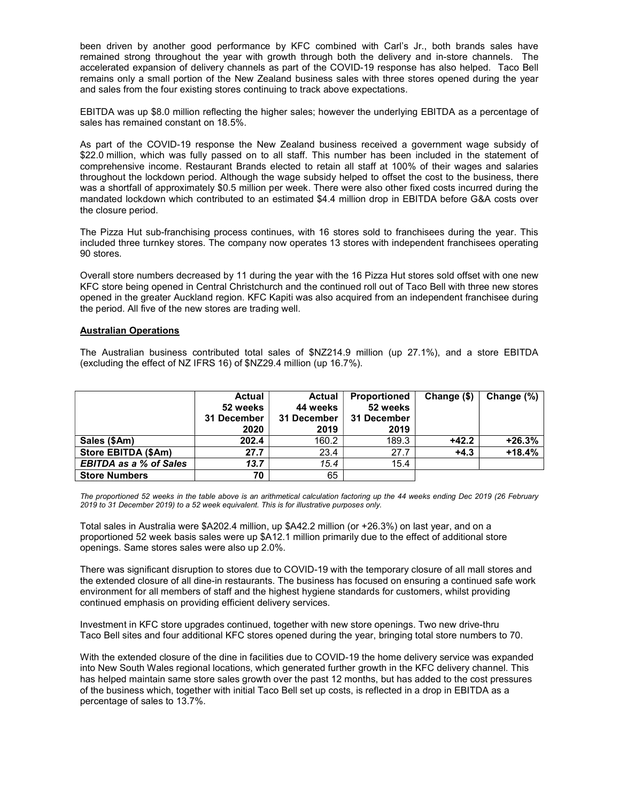been driven by another good performance by KFC combined with Carl's Jr., both brands sales have remained strong throughout the year with growth through both the delivery and in-store channels. The accelerated expansion of delivery channels as part of the COVID-19 response has also helped. Taco Bell remains only a small portion of the New Zealand business sales with three stores opened during the year and sales from the four existing stores continuing to track above expectations.

EBITDA was up \$8.0 million reflecting the higher sales; however the underlying EBITDA as a percentage of sales has remained constant on 18.5%.

As part of the COVID-19 response the New Zealand business received a government wage subsidy of \$22.0 million, which was fully passed on to all staff. This number has been included in the statement of comprehensive income. Restaurant Brands elected to retain all staff at 100% of their wages and salaries throughout the lockdown period. Although the wage subsidy helped to offset the cost to the business, there was a shortfall of approximately \$0.5 million per week. There were also other fixed costs incurred during the mandated lockdown which contributed to an estimated \$4.4 million drop in EBITDA before G&A costs over the closure period.

The Pizza Hut sub-franchising process continues, with 16 stores sold to franchisees during the year. This included three turnkey stores. The company now operates 13 stores with independent franchisees operating 90 stores.

Overall store numbers decreased by 11 during the year with the 16 Pizza Hut stores sold offset with one new KFC store being opened in Central Christchurch and the continued roll out of Taco Bell with three new stores opened in the greater Auckland region. KFC Kapiti was also acquired from an independent franchisee during the period. All five of the new stores are trading well.

## Australian Operations

The Australian business contributed total sales of \$NZ214.9 million (up 27.1%), and a store EBITDA (excluding the effect of NZ IFRS 16) of \$NZ29.4 million (up 16.7%).

|                               | <b>Actual</b><br>52 weeks<br>31 December<br>2020 | <b>Actual</b><br>44 weeks<br>31 December<br>2019 | <b>Proportioned</b><br>52 weeks<br>31 December<br>2019 | Change $($)$ | Change (%) |
|-------------------------------|--------------------------------------------------|--------------------------------------------------|--------------------------------------------------------|--------------|------------|
| Sales (\$Am)                  | 202.4                                            | 160.2                                            | 189.3                                                  | $+42.2$      | $+26.3%$   |
| Store EBITDA (\$Am)           | 27.7                                             | 23.4                                             | 27.7                                                   | $+4.3$       | $+18.4%$   |
| <b>EBITDA as a % of Sales</b> | 13.7                                             | 15.4                                             | 15.4                                                   |              |            |
| <b>Store Numbers</b>          | 70                                               | 65                                               |                                                        |              |            |

The proportioned 52 weeks in the table above is an arithmetical calculation factoring up the 44 weeks ending Dec 2019 (26 February 2019 to 31 December 2019) to a 52 week equivalent. This is for illustrative purposes only.

Total sales in Australia were \$A202.4 million, up \$A42.2 million (or +26.3%) on last year, and on a proportioned 52 week basis sales were up \$A12.1 million primarily due to the effect of additional store openings. Same stores sales were also up 2.0%.

There was significant disruption to stores due to COVID-19 with the temporary closure of all mall stores and the extended closure of all dine-in restaurants. The business has focused on ensuring a continued safe work environment for all members of staff and the highest hygiene standards for customers, whilst providing continued emphasis on providing efficient delivery services.

Investment in KFC store upgrades continued, together with new store openings. Two new drive-thru Taco Bell sites and four additional KFC stores opened during the year, bringing total store numbers to 70.

With the extended closure of the dine in facilities due to COVID-19 the home delivery service was expanded into New South Wales regional locations, which generated further growth in the KFC delivery channel. This has helped maintain same store sales growth over the past 12 months, but has added to the cost pressures of the business which, together with initial Taco Bell set up costs, is reflected in a drop in EBITDA as a percentage of sales to 13.7%.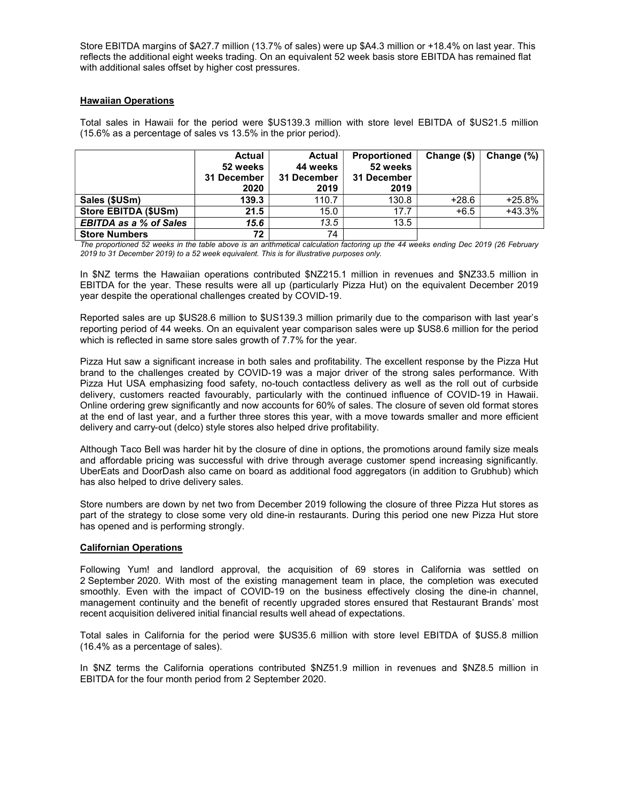Store EBITDA margins of \$A27.7 million (13.7% of sales) were up \$A4.3 million or +18.4% on last year. This reflects the additional eight weeks trading. On an equivalent 52 week basis store EBITDA has remained flat with additional sales offset by higher cost pressures.

## **Hawaiian Operations**

Total sales in Hawaii for the period were \$US139.3 million with store level EBITDA of \$US21.5 million (15.6% as a percentage of sales vs 13.5% in the prior period).

|                               | <b>Actual</b><br>52 weeks<br>31 December<br>2020 | Actual<br>44 weeks<br>31 December<br>2019 | <b>Proportioned</b><br>52 weeks<br>31 December<br>2019 | Change (\$) | Change (%) |
|-------------------------------|--------------------------------------------------|-------------------------------------------|--------------------------------------------------------|-------------|------------|
| Sales (\$USm)                 | 139.3                                            | 110.7                                     | 130.8                                                  | $+28.6$     | $+25.8%$   |
| Store EBITDA (\$USm)          | 21.5                                             | 15.0                                      | 17.7                                                   | $+6.5$      | $+43.3%$   |
| <b>EBITDA as a % of Sales</b> | 15.6                                             | 13.5                                      | 13.5                                                   |             |            |
| <b>Store Numbers</b>          | 72                                               | 74                                        |                                                        |             |            |

The proportioned 52 weeks in the table above is an arithmetical calculation factoring up the 44 weeks ending Dec 2019 (26 February 2019 to 31 December 2019) to a 52 week equivalent. This is for illustrative purposes only.

In \$NZ terms the Hawaiian operations contributed \$NZ215.1 million in revenues and \$NZ33.5 million in EBITDA for the year. These results were all up (particularly Pizza Hut) on the equivalent December 2019 year despite the operational challenges created by COVID-19.

Reported sales are up \$US28.6 million to \$US139.3 million primarily due to the comparison with last year's reporting period of 44 weeks. On an equivalent year comparison sales were up \$US8.6 million for the period which is reflected in same store sales growth of 7.7% for the year.

Pizza Hut saw a significant increase in both sales and profitability. The excellent response by the Pizza Hut brand to the challenges created by COVID-19 was a major driver of the strong sales performance. With Pizza Hut USA emphasizing food safety, no-touch contactless delivery as well as the roll out of curbside delivery, customers reacted favourably, particularly with the continued influence of COVID-19 in Hawaii. Online ordering grew significantly and now accounts for 60% of sales. The closure of seven old format stores at the end of last year, and a further three stores this year, with a move towards smaller and more efficient delivery and carry-out (delco) style stores also helped drive profitability.

Although Taco Bell was harder hit by the closure of dine in options, the promotions around family size meals and affordable pricing was successful with drive through average customer spend increasing significantly. UberEats and DoorDash also came on board as additional food aggregators (in addition to Grubhub) which has also helped to drive delivery sales.

Store numbers are down by net two from December 2019 following the closure of three Pizza Hut stores as part of the strategy to close some very old dine-in restaurants. During this period one new Pizza Hut store has opened and is performing strongly.

## Californian Operations

Following Yum! and landlord approval, the acquisition of 69 stores in California was settled on 2 September 2020. With most of the existing management team in place, the completion was executed smoothly. Even with the impact of COVID-19 on the business effectively closing the dine-in channel, management continuity and the benefit of recently upgraded stores ensured that Restaurant Brands' most recent acquisition delivered initial financial results well ahead of expectations.

Total sales in California for the period were \$US35.6 million with store level EBITDA of \$US5.8 million (16.4% as a percentage of sales).

In \$NZ terms the California operations contributed \$NZ51.9 million in revenues and \$NZ8.5 million in EBITDA for the four month period from 2 September 2020.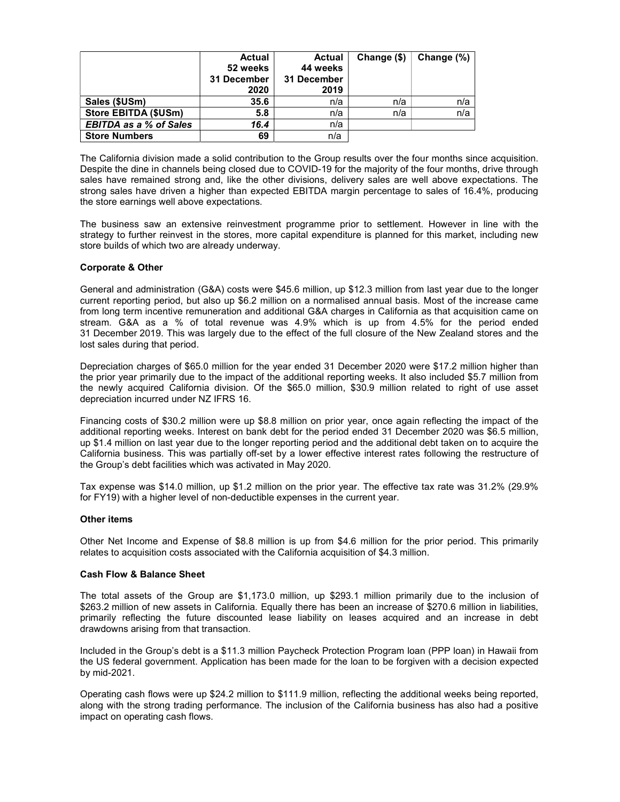|                               | <b>Actual</b><br>52 weeks<br>31 December<br>2020 | Actual<br>44 weeks<br>31 December<br>2019 | Change (\$) | Change (%) |
|-------------------------------|--------------------------------------------------|-------------------------------------------|-------------|------------|
| Sales (\$USm)                 | 35.6                                             | n/a                                       | n/a         | n/a        |
| Store EBITDA (\$USm)          | 5.8                                              | n/a                                       | n/a         | n/a        |
| <b>EBITDA as a % of Sales</b> | 16.4                                             | n/a                                       |             |            |
| <b>Store Numbers</b>          | 69                                               | n/a                                       |             |            |

The California division made a solid contribution to the Group results over the four months since acquisition. Despite the dine in channels being closed due to COVID-19 for the majority of the four months, drive through sales have remained strong and, like the other divisions, delivery sales are well above expectations. The strong sales have driven a higher than expected EBITDA margin percentage to sales of 16.4%, producing the store earnings well above expectations.

The business saw an extensive reinvestment programme prior to settlement. However in line with the strategy to further reinvest in the stores, more capital expenditure is planned for this market, including new store builds of which two are already underway.

## Corporate & Other

General and administration (G&A) costs were \$45.6 million, up \$12.3 million from last year due to the longer current reporting period, but also up \$6.2 million on a normalised annual basis. Most of the increase came from long term incentive remuneration and additional G&A charges in California as that acquisition came on stream. G&A as a % of total revenue was 4.9% which is up from 4.5% for the period ended 31 December 2019. This was largely due to the effect of the full closure of the New Zealand stores and the lost sales during that period.

Depreciation charges of \$65.0 million for the year ended 31 December 2020 were \$17.2 million higher than the prior year primarily due to the impact of the additional reporting weeks. It also included \$5.7 million from the newly acquired California division. Of the \$65.0 million, \$30.9 million related to right of use asset depreciation incurred under NZ IFRS 16.

Financing costs of \$30.2 million were up \$8.8 million on prior year, once again reflecting the impact of the additional reporting weeks. Interest on bank debt for the period ended 31 December 2020 was \$6.5 million, up \$1.4 million on last year due to the longer reporting period and the additional debt taken on to acquire the California business. This was partially off-set by a lower effective interest rates following the restructure of the Group's debt facilities which was activated in May 2020.

Tax expense was \$14.0 million, up \$1.2 million on the prior year. The effective tax rate was 31.2% (29.9% for FY19) with a higher level of non-deductible expenses in the current year.

## Other items

Other Net Income and Expense of \$8.8 million is up from \$4.6 million for the prior period. This primarily relates to acquisition costs associated with the California acquisition of \$4.3 million.

## Cash Flow & Balance Sheet

The total assets of the Group are \$1,173.0 million, up \$293.1 million primarily due to the inclusion of \$263.2 million of new assets in California. Equally there has been an increase of \$270.6 million in liabilities, primarily reflecting the future discounted lease liability on leases acquired and an increase in debt drawdowns arising from that transaction.

Included in the Group's debt is a \$11.3 million Paycheck Protection Program loan (PPP loan) in Hawaii from the US federal government. Application has been made for the loan to be forgiven with a decision expected by mid-2021.

Operating cash flows were up \$24.2 million to \$111.9 million, reflecting the additional weeks being reported, along with the strong trading performance. The inclusion of the California business has also had a positive impact on operating cash flows.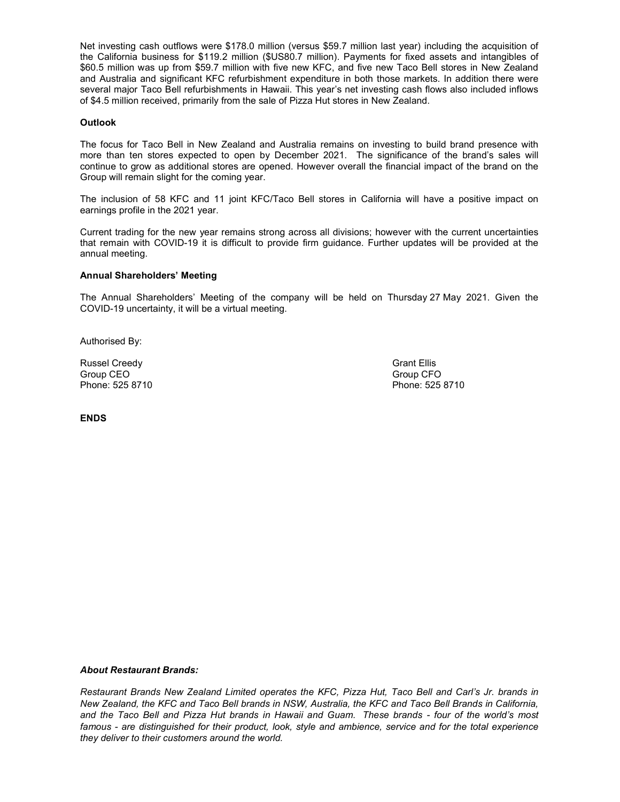Net investing cash outflows were \$178.0 million (versus \$59.7 million last year) including the acquisition of the California business for \$119.2 million (\$US80.7 million). Payments for fixed assets and intangibles of \$60.5 million was up from \$59.7 million with five new KFC, and five new Taco Bell stores in New Zealand and Australia and significant KFC refurbishment expenditure in both those markets. In addition there were several major Taco Bell refurbishments in Hawaii. This year's net investing cash flows also included inflows of \$4.5 million received, primarily from the sale of Pizza Hut stores in New Zealand.

## **Outlook**

The focus for Taco Bell in New Zealand and Australia remains on investing to build brand presence with more than ten stores expected to open by December 2021. The significance of the brand's sales will continue to grow as additional stores are opened. However overall the financial impact of the brand on the Group will remain slight for the coming year.

The inclusion of 58 KFC and 11 joint KFC/Taco Bell stores in California will have a positive impact on earnings profile in the 2021 year.

Current trading for the new year remains strong across all divisions; however with the current uncertainties that remain with COVID-19 it is difficult to provide firm guidance. Further updates will be provided at the annual meeting.

#### Annual Shareholders' Meeting

The Annual Shareholders' Meeting of the company will be held on Thursday 27 May 2021. Given the COVID-19 uncertainty, it will be a virtual meeting.

Authorised By:

Russel Creedy **Grant Ellis** Group CEO Group CEO Group CEO Phone: 525 8710 Phone: 525 8710

ENDS

About Restaurant Brands:

Restaurant Brands New Zealand Limited operates the KFC, Pizza Hut, Taco Bell and Carl's Jr. brands in New Zealand, the KFC and Taco Bell brands in NSW, Australia, the KFC and Taco Bell Brands in California, and the Taco Bell and Pizza Hut brands in Hawaii and Guam. These brands - four of the world's most famous - are distinguished for their product, look, style and ambience, service and for the total experience they deliver to their customers around the world.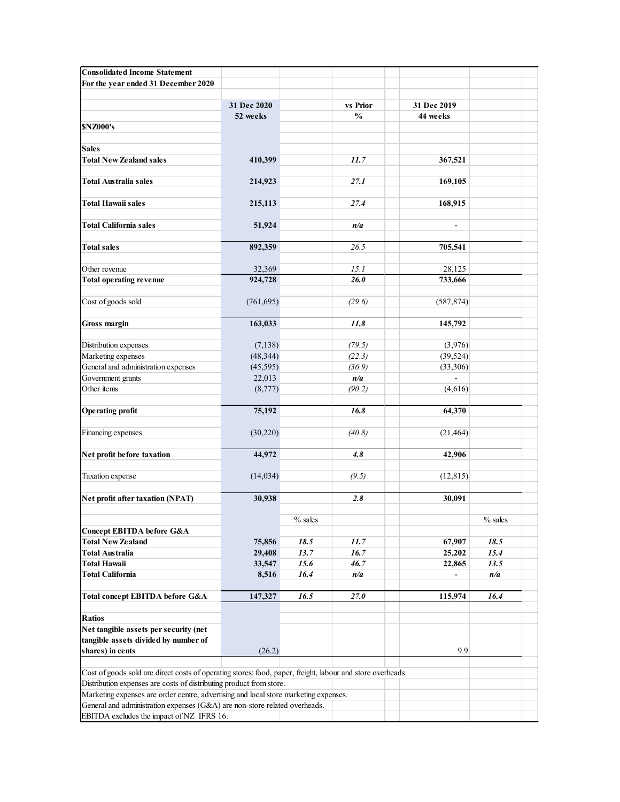| <b>Consolidated Income Statement</b>                                                                                                                        |                   |              |                |                          |             |  |
|-------------------------------------------------------------------------------------------------------------------------------------------------------------|-------------------|--------------|----------------|--------------------------|-------------|--|
| For the year ended 31 December 2020                                                                                                                         |                   |              |                |                          |             |  |
|                                                                                                                                                             | 31 Dec 2020       |              | vs Prior       | 31 Dec 2019              |             |  |
|                                                                                                                                                             | 52 weeks          |              | $\frac{6}{10}$ | 44 weeks                 |             |  |
| <b>SNZ000's</b>                                                                                                                                             |                   |              |                |                          |             |  |
| <b>Sales</b>                                                                                                                                                |                   |              |                |                          |             |  |
| <b>Total New Zealand sales</b>                                                                                                                              | 410,399           |              | 11.7           | 367,521                  |             |  |
| <b>Total Australia sales</b>                                                                                                                                | 214,923           |              | 27.1           | 169,105                  |             |  |
| <b>Total Hawaii sales</b>                                                                                                                                   | 215,113           |              | 27.4           | 168,915                  |             |  |
|                                                                                                                                                             |                   |              |                |                          |             |  |
| <b>Total California sales</b>                                                                                                                               | 51,924            |              | n/a            | $\blacksquare$           |             |  |
| <b>Total sales</b>                                                                                                                                          | 892,359           |              | 26.5           | 705,541                  |             |  |
|                                                                                                                                                             |                   |              |                |                          |             |  |
| Other revenue<br><b>Total operating revenue</b>                                                                                                             | 32,369<br>924,728 |              | 15.1<br>26.0   | 28,125<br>733,666        |             |  |
|                                                                                                                                                             |                   |              |                |                          |             |  |
| Cost of goods sold                                                                                                                                          | (761, 695)        |              | (29.6)         | (587, 874)               |             |  |
| Gross margin                                                                                                                                                | 163,033           |              | 11.8           | 145,792                  |             |  |
| Distribution expenses                                                                                                                                       | (7, 138)          |              | (79.5)         | (3,976)                  |             |  |
| Marketing expenses                                                                                                                                          | (48, 344)         |              | (22.3)         | (39, 524)                |             |  |
| General and administration expenses                                                                                                                         | (45, 595)         |              | (36.9)         | (33,306)                 |             |  |
| Government grants<br>Other items                                                                                                                            | 22,013            |              | n/a<br>(90.2)  | $\blacksquare$           |             |  |
|                                                                                                                                                             | (8,777)           |              |                | (4,616)                  |             |  |
| <b>Operating profit</b>                                                                                                                                     | 75,192            |              | 16.8           | 64,370                   |             |  |
| Financing expenses                                                                                                                                          | (30, 220)         |              | (40.8)         | (21, 464)                |             |  |
|                                                                                                                                                             |                   |              |                |                          |             |  |
| Net profit before taxation                                                                                                                                  | 44,972            |              | 4.8            | 42,906                   |             |  |
| Taxation expense                                                                                                                                            | (14, 034)         |              | (9.5)          | (12, 815)                |             |  |
| Net profit after taxation (NPAT)                                                                                                                            | 30,938            |              | 2.8            | 30,091                   |             |  |
|                                                                                                                                                             |                   |              |                |                          |             |  |
| <b>Concept EBITDA before G&amp;A</b>                                                                                                                        |                   | $%$ sales    |                |                          | $%$ sales   |  |
| <b>Total New Zealand</b>                                                                                                                                    | 75,856            | 18.5         | $11.7\,$       | 67,907                   | 18.5        |  |
| <b>Total Australia</b>                                                                                                                                      | 29,408            | 13.7         | 16.7           | 25,202                   | 15.4        |  |
| <b>Total Hawaii</b><br><b>Total California</b>                                                                                                              | 33,547<br>8,516   | 15.6<br>16.4 | 46.7<br>n/a    | 22,865<br>$\blacksquare$ | 13.5<br>n/a |  |
|                                                                                                                                                             |                   |              |                |                          |             |  |
| Total concept EBITDA before G&A                                                                                                                             | 147,327           | 16.5         | $27.0$         | 115,974                  | 16.4        |  |
| <b>Ratios</b>                                                                                                                                               |                   |              |                |                          |             |  |
| Net tangible assets per security (net                                                                                                                       |                   |              |                |                          |             |  |
| tangible assets divided by number of<br>shares) in cents                                                                                                    | (26.2)            |              |                | 9.9                      |             |  |
|                                                                                                                                                             |                   |              |                |                          |             |  |
| Cost of goods sold are direct costs of operating stores: food, paper, freight, labour and store overheads.                                                  |                   |              |                |                          |             |  |
| Distribution expenses are costs of distributing product from store.<br>Marketing expenses are order centre, advertising and local store marketing expenses. |                   |              |                |                          |             |  |
| General and administration expenses (G&A) are non-store related overheads.                                                                                  |                   |              |                |                          |             |  |
| EBITDA excludes the impact of NZ IFRS 16.                                                                                                                   |                   |              |                |                          |             |  |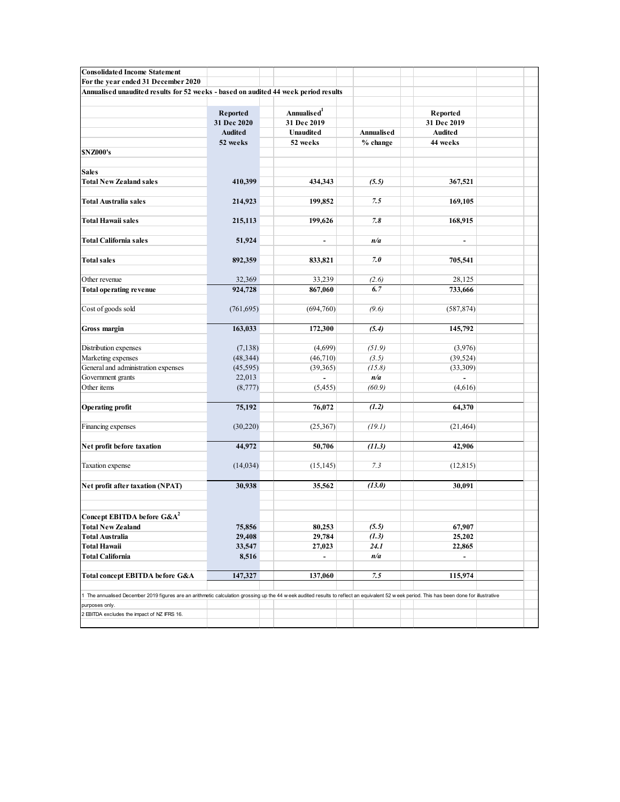| <b>Consolidated Income Statement</b>                                                                                                                                                    |                       |                              |                        |                            |  |
|-----------------------------------------------------------------------------------------------------------------------------------------------------------------------------------------|-----------------------|------------------------------|------------------------|----------------------------|--|
| For the year ended 31 December 2020<br>Annualised unaudited results for 52 weeks - based on audited 44 week period results                                                              |                       |                              |                        |                            |  |
|                                                                                                                                                                                         |                       |                              |                        |                            |  |
|                                                                                                                                                                                         | Reported              | Annualised <sup>1</sup>      |                        | Reported                   |  |
|                                                                                                                                                                                         | 31 Dec 2020           | 31 Dec 2019                  |                        | 31 Dec 2019                |  |
|                                                                                                                                                                                         | Audited<br>52 weeks   | <b>Unaudited</b><br>52 weeks | Annualised<br>% change | <b>Audited</b><br>44 weeks |  |
| <b>SNZ000's</b>                                                                                                                                                                         |                       |                              |                        |                            |  |
|                                                                                                                                                                                         |                       |                              |                        |                            |  |
| <b>Sales</b><br><b>Total New Zealand sales</b>                                                                                                                                          | 410,399               | 434,343                      | (5.5)                  | 367,521                    |  |
|                                                                                                                                                                                         |                       |                              |                        |                            |  |
| <b>Total Australia sales</b>                                                                                                                                                            | 214,923               | 199,852                      | 7.5                    | 169,105                    |  |
| <b>Total Hawaii sales</b>                                                                                                                                                               | 215,113               | 199,626                      | 7.8                    | 168,915                    |  |
|                                                                                                                                                                                         |                       |                              |                        |                            |  |
| Total California sales                                                                                                                                                                  | 51,924                | $\sim$                       | n/a                    | $\sim$                     |  |
|                                                                                                                                                                                         |                       |                              |                        |                            |  |
| <b>Total sales</b>                                                                                                                                                                      | 892,359               | 833,821                      | 7.0                    | 705,541                    |  |
| Other revenue                                                                                                                                                                           | 32,369                | 33,239                       | (2.6)                  | 28,125                     |  |
| Total operating revenue                                                                                                                                                                 | 924,728               | 867,060                      | 6.7                    | 733,666                    |  |
| Cost of goods sold                                                                                                                                                                      | (761, 695)            | (694, 760)                   | (9.6)                  | (587, 874)                 |  |
|                                                                                                                                                                                         |                       |                              |                        |                            |  |
| Gross margin                                                                                                                                                                            | 163,033               | 172,300                      | (5.4)                  | 145,792                    |  |
|                                                                                                                                                                                         |                       | (4,699)                      |                        |                            |  |
| Distribution expenses<br>Marketing expenses                                                                                                                                             | (7, 138)<br>(48, 344) | (46, 710)                    | (51.9)<br>(3.5)        | (3,976)<br>(39, 524)       |  |
| General and administration expenses                                                                                                                                                     | (45, 595)             | (39, 365)                    | (15.8)                 | (33,309)                   |  |
| Government grants                                                                                                                                                                       | 22,013                | $\sim$                       | n/a                    | $\sim$                     |  |
| Other items                                                                                                                                                                             | (8,777)               | (5, 455)                     | (60.9)                 | (4,616)                    |  |
| <b>Operating profit</b>                                                                                                                                                                 | 75,192                | 76,072                       | (1.2)                  | 64,370                     |  |
|                                                                                                                                                                                         |                       |                              |                        |                            |  |
| Financing expenses                                                                                                                                                                      | (30, 220)             | (25,367)                     | (19.1)                 | (21, 464)                  |  |
|                                                                                                                                                                                         | 44,972                | 50,706                       | (11.3)                 | 42,906                     |  |
| Net profit before taxation                                                                                                                                                              |                       |                              |                        |                            |  |
| Taxation expense                                                                                                                                                                        | (14, 034)             | (15, 145)                    | 7.3                    | (12, 815)                  |  |
|                                                                                                                                                                                         |                       |                              |                        |                            |  |
| Net profit after taxation (NPAT)                                                                                                                                                        | 30,938                | 35,562                       | (13.0)                 | 30,091                     |  |
|                                                                                                                                                                                         |                       |                              |                        |                            |  |
| Concept EBITDA before G&A <sup>2</sup>                                                                                                                                                  |                       |                              |                        |                            |  |
| <b>Total New Zealand</b>                                                                                                                                                                | 75,856                | 80,253                       | (5.5)                  | 67,907                     |  |
| <b>Total Australia</b>                                                                                                                                                                  | 29,408                | 29,784                       | (1.3)                  | 25,202                     |  |
| Total Hawaii                                                                                                                                                                            | 33,547                | 27,023                       | 24.1                   | 22,865                     |  |
| <b>Total California</b>                                                                                                                                                                 | 8,516                 | $\blacksquare$               | n/a                    | $\blacksquare$             |  |
| Total concept EBITDA before G&A                                                                                                                                                         | 147,327               | 137,060                      | 7.5                    | 115,974                    |  |
|                                                                                                                                                                                         |                       |                              |                        |                            |  |
| The annualised December 2019 figures are an arithmetic calculation grossing up the 44 week audited results to reflect an equivalent 52 week period. This has been done for illustrative |                       |                              |                        |                            |  |
| ourposes only.<br>2 EBITDA excludes the impact of NZ IFRS 16.                                                                                                                           |                       |                              |                        |                            |  |
|                                                                                                                                                                                         |                       |                              |                        |                            |  |